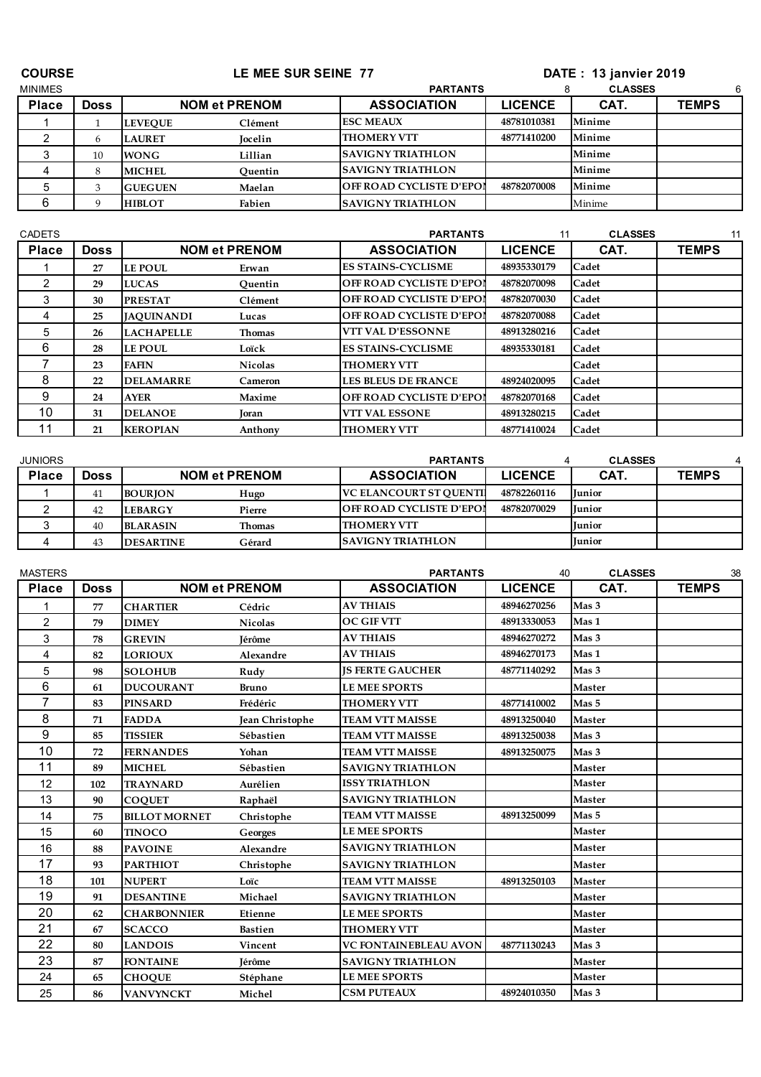| <b>COURSE</b>  |             |                | LE MEE SUR SEINE 77  | <b>DATE: 13 janvier 2019</b>    |                |                |              |
|----------------|-------------|----------------|----------------------|---------------------------------|----------------|----------------|--------------|
| <b>MINIMES</b> |             |                |                      | <b>PARTANTS</b>                 |                | <b>CLASSES</b> | 6            |
| <b>Place</b>   | <b>Doss</b> |                | <b>NOM et PRENOM</b> | <b>ASSOCIATION</b>              | <b>LICENCE</b> | CAT.           | <b>TEMPS</b> |
|                |             | <b>LEVEOUE</b> | Clément              | <b>ESC MEAUX</b>                | 48781010381    | Minime         |              |
|                | 6           | <b>LAURET</b>  | <b>Jocelin</b>       | <b>THOMERY VTT</b>              | 48771410200    | Minime         |              |
|                | 10          | <b>WONG</b>    | Lillian              | <b>SAVIGNY TRIATHLON</b>        |                | Minime         |              |
|                | 8           | <b>MICHEL</b>  | Quentin              | <b>SAVIGNY TRIATHLON</b>        |                | Minime         |              |
|                |             | <b>GUEGUEN</b> | Maelan               | <b>OFF ROAD CYCLISTE D'EPOI</b> | 48782070008    | Minime         |              |
| 6              | Q           | <b>HIBLOT</b>  | Fabien               | <b>SAVIGNY TRIATHLON</b>        |                | Minime         |              |

| <b>CADETS</b> |             |                   |                      | <b>PARTANTS</b>                 | 11             | <b>CLASSES</b> | 11           |
|---------------|-------------|-------------------|----------------------|---------------------------------|----------------|----------------|--------------|
| <b>Place</b>  | <b>Doss</b> |                   | <b>NOM et PRENOM</b> | <b>ASSOCIATION</b>              | <b>LICENCE</b> | CAT.           | <b>TEMPS</b> |
|               | 27          | <b>LE POUL</b>    | Erwan                | <b>ES STAINS-CYCLISME</b>       | 48935330179    | Cadet          |              |
| 2             | 29          | <b>LUCAS</b>      | Ouentin              | <b>OFF ROAD CYCLISTE D'EPOI</b> | 48782070098    | Cadet          |              |
| 3             | 30          | <b>PRESTAT</b>    | Clément              | <b>OFF ROAD CYCLISTE D'EPOI</b> | 48782070030    | Cadet          |              |
| 4             | 25          | <b>JAOUINANDI</b> | Lucas                | <b>OFF ROAD CYCLISTE D'EPOI</b> | 48782070088    | Cadet          |              |
| 5             | 26          | <b>LACHAPELLE</b> | Thomas               | <b>VTT VAL D'ESSONNE</b>        | 48913280216    | Cadet          |              |
| 6             | 28          | <b>LE POUL</b>    | Loïck                | <b>ES STAINS-CYCLISME</b>       | 48935330181    | Cadet          |              |
|               | 23          | <b>FAFIN</b>      | <b>Nicolas</b>       | <b>THOMERY VTT</b>              |                | Cadet          |              |
| 8             | 22          | <b>DELAMARRE</b>  | Cameron              | <b>LES BLEUS DE FRANCE</b>      | 48924020095    | Cadet          |              |
| 9             | 24          | <b>AYER</b>       | Maxime               | <b>OFF ROAD CYCLISTE D'EPOI</b> | 48782070168    | Cadet          |              |
| 10            | 31          | <b>DELANOE</b>    | Toran                | <b>VTT VAL ESSONE</b>           | 48913280215    | Cadet          |              |
|               | 21          | <b>KEROPIAN</b>   | Anthony              | <b>THOMERY VTT</b>              | 48771410024    | Cadet          |              |

| <b>JUNIORS</b> |      |                  |                      | <b>PARTANTS</b>                 |                | <b>CLASSES</b> |              |
|----------------|------|------------------|----------------------|---------------------------------|----------------|----------------|--------------|
| <b>Place</b>   | Doss |                  | <b>NOM et PRENOM</b> | <b>ASSOCIATION</b>              | <b>LICENCE</b> | CAT.           | <b>TEMPS</b> |
|                | 41   | <b>BOURION</b>   | Hugo                 | <b>VC ELANCOURT ST OUENTI</b>   | 48782260116    | <b>Iunior</b>  |              |
|                | 42   | <b>LEBARGY</b>   | Pierre               | <b>OFF ROAD CYCLISTE D'EPOI</b> | 48782070029    | <b>Iunior</b>  |              |
|                | 40   | <b>BLARASIN</b>  | Thomas               | <b>THOMERY VTT</b>              |                | <b>Iunior</b>  |              |
|                | 43   | <b>DESARTINE</b> | Gérard               | <b>SAVIGNY TRIATHLON</b>        |                | Tunior         |              |

| <b>MASTERS</b> |             |                      |                        | <b>PARTANTS</b>          | 40             | <b>CLASSES</b>   | 38           |
|----------------|-------------|----------------------|------------------------|--------------------------|----------------|------------------|--------------|
| <b>Place</b>   | <b>Doss</b> |                      | <b>NOM et PRENOM</b>   | <b>ASSOCIATION</b>       | <b>LICENCE</b> | CAT.             | <b>TEMPS</b> |
|                | 77          | <b>CHARTIER</b>      | Cédric                 | <b>AV THIAIS</b>         | 48946270256    | Mas <sub>3</sub> |              |
| 2              | 79          | <b>DIMEY</b>         | <b>Nicolas</b>         | <b>OC GIF VTT</b>        | 48913330053    | Mas 1            |              |
| 3              | 78          | <b>GREVIN</b>        | <b>Iérôme</b>          | <b>AV THIAIS</b>         | 48946270272    | Mas 3            |              |
| 4              | 82          | <b>LORIOUX</b>       | Alexandre              | <b>AV THIAIS</b>         | 48946270173    | Mas 1            |              |
| 5              | 98          | <b>SOLOHUB</b>       | Rudy                   | <b>IS FERTE GAUCHER</b>  | 48771140292    | Mas 3            |              |
| 6              | 61          | <b>DUCOURANT</b>     | <b>Bruno</b>           | <b>LE MEE SPORTS</b>     |                | <b>Master</b>    |              |
| 7              | 83          | <b>PINSARD</b>       | Frédéric               | <b>THOMERY VTT</b>       | 48771410002    | Mas 5            |              |
| 8              | 71          | <b>FADDA</b>         | <b>Jean Christophe</b> | TEAM VTT MAISSE          | 48913250040    | <b>Master</b>    |              |
| 9              | 85          | <b>TISSIER</b>       | Sébastien              | <b>TEAM VTT MAISSE</b>   | 48913250038    | Mas 3            |              |
| 10             | 72          | <b>FERNANDES</b>     | Yohan                  | <b>TEAM VTT MAISSE</b>   | 48913250075    | Mas 3            |              |
| 11             | 89          | <b>MICHEL</b>        | Sébastien              | <b>SAVIGNY TRIATHLON</b> |                | <b>Master</b>    |              |
| 12             | 102         | <b>TRAYNARD</b>      | Aurélien               | <b>ISSY TRIATHLON</b>    |                | <b>Master</b>    |              |
| 13             | 90          | <b>COOUET</b>        | Raphaël                | <b>SAVIGNY TRIATHLON</b> |                | <b>Master</b>    |              |
| 14             | 75          | <b>BILLOT MORNET</b> | Christophe             | <b>TEAM VTT MAISSE</b>   | 48913250099    | Mas 5            |              |
| 15             | 60          | <b>TINOCO</b>        | Georges                | <b>LE MEE SPORTS</b>     |                | <b>Master</b>    |              |
| 16             | 88          | <b>PAVOINE</b>       | Alexandre              | <b>SAVIGNY TRIATHLON</b> |                | <b>Master</b>    |              |
| 17             | 93          | <b>PARTHIOT</b>      | Christophe             | <b>SAVIGNY TRIATHLON</b> |                | <b>Master</b>    |              |
| 18             | 101         | <b>NUPERT</b>        | Loïc                   | <b>TEAM VTT MAISSE</b>   | 48913250103    | <b>Master</b>    |              |
| 19             | 91          | <b>DESANTINE</b>     | Michael                | <b>SAVIGNY TRIATHLON</b> |                | <b>Master</b>    |              |
| 20             | 62          | <b>CHARBONNIER</b>   | Etienne                | <b>LE MEE SPORTS</b>     |                | <b>Master</b>    |              |
| 21             | 67          | <b>SCACCO</b>        | <b>Bastien</b>         | <b>THOMERY VTT</b>       |                | <b>Master</b>    |              |
| 22             | 80          | <b>LANDOIS</b>       | Vincent                | VC FONTAINEBLEAU AVON    | 48771130243    | Mas 3            |              |
| 23             | 87          | <b>FONTAINE</b>      | <b>Iérôme</b>          | <b>SAVIGNY TRIATHLON</b> |                | <b>Master</b>    |              |
| 24             | 65          | <b>CHOQUE</b>        | Stéphane               | <b>LE MEE SPORTS</b>     |                | <b>Master</b>    |              |
| 25             | 86          | <b>VANVYNCKT</b>     | Michel                 | <b>CSM PUTEAUX</b>       | 48924010350    | Mas 3            |              |